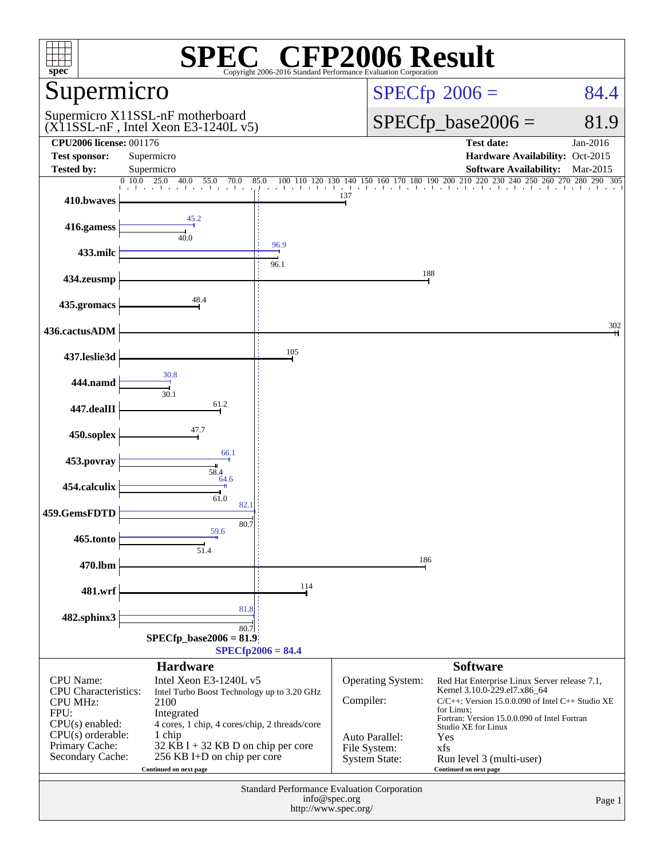| $\mathbb{C}^{\circledast}$ CFP2006 Result<br>$spec^*$<br>Copyright 2006-2016 Standard Performance Evaluation Corporation |                                                                                                                                                          |                                 |                                                        |                                                                                                                                                                                                                                                                                                                                                                                 |                      |  |  |
|--------------------------------------------------------------------------------------------------------------------------|----------------------------------------------------------------------------------------------------------------------------------------------------------|---------------------------------|--------------------------------------------------------|---------------------------------------------------------------------------------------------------------------------------------------------------------------------------------------------------------------------------------------------------------------------------------------------------------------------------------------------------------------------------------|----------------------|--|--|
| Supermicro                                                                                                               |                                                                                                                                                          |                                 |                                                        | $SPECfp^{\circledast}2006 =$<br>84.4                                                                                                                                                                                                                                                                                                                                            |                      |  |  |
|                                                                                                                          | Supermicro X11SSL-nF motherboard<br>(X11SSL-nF, Intel Xeon E3-1240L v5)                                                                                  |                                 |                                                        | $SPECfp\_base2006 =$<br>81.9                                                                                                                                                                                                                                                                                                                                                    |                      |  |  |
| <b>CPU2006 license: 001176</b><br><b>Test sponsor:</b><br><b>Tested by:</b>                                              | Supermicro<br>Supermicro                                                                                                                                 |                                 |                                                        | <b>Test date:</b><br>Hardware Availability: Oct-2015<br><b>Software Availability:</b>                                                                                                                                                                                                                                                                                           | Jan-2016<br>Mar-2015 |  |  |
|                                                                                                                          | $\begin{bmatrix} 0 & 10.0 & 25.0 & 40.0 & 55.0 & 70.0 \\ 1 & 1 & 1 & 1 & 1 \end{bmatrix}$                                                                | 85.0<br>التباعث التعاريب أنتقاد |                                                        | $100 \quad 110 \quad 120 \quad 130 \quad 140 \quad 150 \quad 160 \quad 170 \quad 180 \quad 190 \quad 200 \quad 210 \quad 220 \quad 230 \quad 240 \quad 250 \quad 260 \quad 270 \quad 280 \quad 290 \quad 305 \quad 101 \quad 210 \quad 220 \quad 230 \quad 240 \quad 250 \quad 260 \quad 270 \quad 280 \quad 290 \quad 305 \quad 290 \quad 306 \quad 201 \quad 201 \quad 211 \$ |                      |  |  |
| 410.bwaves                                                                                                               |                                                                                                                                                          |                                 | 137                                                    |                                                                                                                                                                                                                                                                                                                                                                                 |                      |  |  |
| 416.gamess                                                                                                               | 45.2<br>40.0                                                                                                                                             |                                 |                                                        |                                                                                                                                                                                                                                                                                                                                                                                 |                      |  |  |
| 433.milc                                                                                                                 |                                                                                                                                                          | 96.9<br>96.1                    |                                                        |                                                                                                                                                                                                                                                                                                                                                                                 |                      |  |  |
| 434.zeusmp                                                                                                               |                                                                                                                                                          |                                 |                                                        | 188                                                                                                                                                                                                                                                                                                                                                                             |                      |  |  |
| 435.gromacs                                                                                                              | 48.4                                                                                                                                                     |                                 |                                                        |                                                                                                                                                                                                                                                                                                                                                                                 |                      |  |  |
| 436.cactusADM                                                                                                            |                                                                                                                                                          |                                 |                                                        |                                                                                                                                                                                                                                                                                                                                                                                 | 302                  |  |  |
| 437.leslie3d                                                                                                             |                                                                                                                                                          | 105                             |                                                        |                                                                                                                                                                                                                                                                                                                                                                                 |                      |  |  |
| 444.namd                                                                                                                 | 30.8                                                                                                                                                     |                                 |                                                        |                                                                                                                                                                                                                                                                                                                                                                                 |                      |  |  |
| 447.dealII                                                                                                               | 30.1<br>61.2                                                                                                                                             |                                 |                                                        |                                                                                                                                                                                                                                                                                                                                                                                 |                      |  |  |
| 450.soplex                                                                                                               | 47.7                                                                                                                                                     |                                 |                                                        |                                                                                                                                                                                                                                                                                                                                                                                 |                      |  |  |
| 453.povray                                                                                                               | 66.1                                                                                                                                                     |                                 |                                                        |                                                                                                                                                                                                                                                                                                                                                                                 |                      |  |  |
| 454.calculix                                                                                                             | 58.4<br>64.6                                                                                                                                             |                                 |                                                        |                                                                                                                                                                                                                                                                                                                                                                                 |                      |  |  |
| 459.GemsFDTD                                                                                                             | 61.0<br>82.1                                                                                                                                             |                                 |                                                        |                                                                                                                                                                                                                                                                                                                                                                                 |                      |  |  |
|                                                                                                                          | 80.7<br>59.6                                                                                                                                             |                                 |                                                        |                                                                                                                                                                                                                                                                                                                                                                                 |                      |  |  |
| 465.tonto                                                                                                                | 51.4                                                                                                                                                     |                                 |                                                        | 186                                                                                                                                                                                                                                                                                                                                                                             |                      |  |  |
| 470.lbm                                                                                                                  |                                                                                                                                                          | 114                             |                                                        |                                                                                                                                                                                                                                                                                                                                                                                 |                      |  |  |
| 481.wrf                                                                                                                  | 81.8                                                                                                                                                     |                                 |                                                        |                                                                                                                                                                                                                                                                                                                                                                                 |                      |  |  |
| 482.sphinx3                                                                                                              | 80.7<br>$SPECfp\_base2006 = 81.9$                                                                                                                        | $SPECfp2006 = 84.4$             |                                                        |                                                                                                                                                                                                                                                                                                                                                                                 |                      |  |  |
|                                                                                                                          | <b>Hardware</b>                                                                                                                                          |                                 |                                                        | <b>Software</b>                                                                                                                                                                                                                                                                                                                                                                 |                      |  |  |
| <b>CPU</b> Name:<br><b>CPU</b> Characteristics:<br><b>CPU MHz:</b><br>FPU:                                               | Intel Xeon E3-1240L v5<br>Intel Turbo Boost Technology up to 3.20 GHz<br>2100<br>Integrated                                                              |                                 | Operating System:<br>Compiler:                         | Red Hat Enterprise Linux Server release 7.1,<br>Kernel 3.10.0-229.el7.x86_64<br>$C/C++$ : Version 15.0.0.090 of Intel $C++$ Studio XE<br>for Linux;                                                                                                                                                                                                                             |                      |  |  |
| $CPU(s)$ enabled:<br>$CPU(s)$ orderable:<br>Primary Cache:<br>Secondary Cache:                                           | 4 cores, 1 chip, 4 cores/chip, 2 threads/core<br>1 chip<br>$32$ KB I + 32 KB D on chip per core<br>256 KB I+D on chip per core<br>Continued on next page |                                 | Auto Parallel:<br>File System:<br><b>System State:</b> | Fortran: Version 15.0.0.090 of Intel Fortran<br>Studio XE for Linux<br>Yes<br>xfs<br>Run level 3 (multi-user)<br>Continued on next page                                                                                                                                                                                                                                         |                      |  |  |
| Standard Performance Evaluation Corporation<br>info@spec.org<br>http://www.spec.org/                                     |                                                                                                                                                          |                                 |                                                        |                                                                                                                                                                                                                                                                                                                                                                                 | Page 1               |  |  |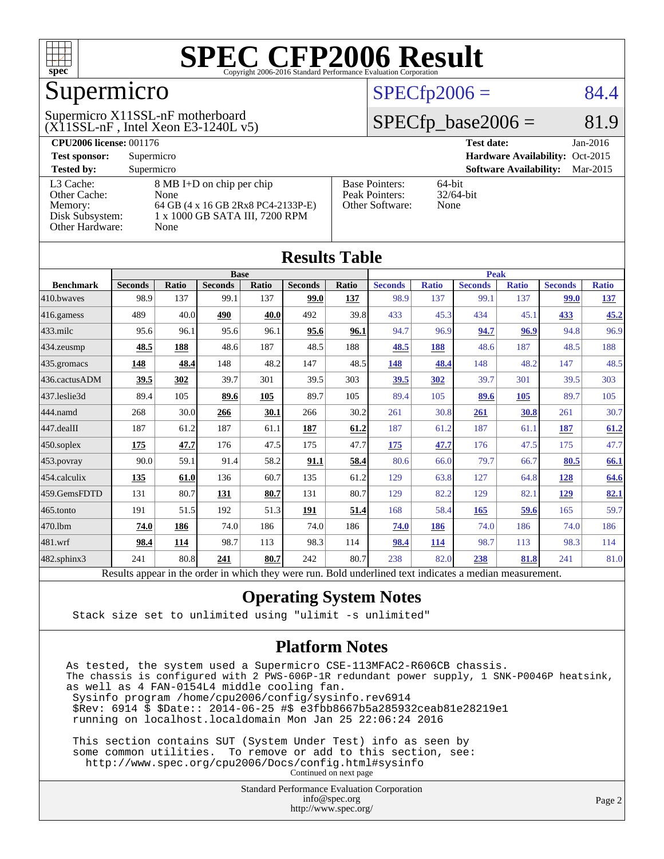

## Supermicro

#### $(X11SSL-nF$ , Intel Xeon E3-1240L v5) Supermicro X11SSL-nF motherboard

#### $SPECfp2006 = 84.4$  $SPECfp2006 = 84.4$

#### $SPECfp\_base2006 = 81.9$

| <b>CPU2006 license: 001176</b> |                                    |                       | <b>Test date:</b><br>$Jan-2016$           |  |  |  |
|--------------------------------|------------------------------------|-----------------------|-------------------------------------------|--|--|--|
| <b>Test sponsor:</b>           | Supermicro                         |                       | Hardware Availability: Oct-2015           |  |  |  |
| <b>Tested by:</b>              | Supermicro                         |                       | <b>Software Availability:</b><br>Mar-2015 |  |  |  |
| L3 Cache:                      | 8 MB I+D on chip per chip          | <b>Base Pointers:</b> | $64$ -bit                                 |  |  |  |
| Other Cache:                   | None                               | Peak Pointers:        | $32/64$ -bit                              |  |  |  |
| Memory:                        | 64 GB (4 x 16 GB 2Rx8 PC4-2133P-E) | Other Software:       | None                                      |  |  |  |
| Disk Subsystem:                | 1 x 1000 GB SATA III, 7200 RPM     |                       |                                           |  |  |  |
| <b>Other Hardware:</b>         | None                               |                       |                                           |  |  |  |

| <b>Results Table</b>   |                                                                                                          |              |                |       |                |       |                |              |                |              |                |              |
|------------------------|----------------------------------------------------------------------------------------------------------|--------------|----------------|-------|----------------|-------|----------------|--------------|----------------|--------------|----------------|--------------|
|                        | <b>Base</b>                                                                                              |              |                |       | <b>Peak</b>    |       |                |              |                |              |                |              |
| <b>Benchmark</b>       | <b>Seconds</b>                                                                                           | <b>Ratio</b> | <b>Seconds</b> | Ratio | <b>Seconds</b> | Ratio | <b>Seconds</b> | <b>Ratio</b> | <b>Seconds</b> | <b>Ratio</b> | <b>Seconds</b> | <b>Ratio</b> |
| 410.bwayes             | 98.9                                                                                                     | 137          | 99.1           | 137   | 99.0           | 137   | 98.9           | 137          | 99.1           | 137          | <b>99.0</b>    | <u>137</u>   |
| 416.gamess             | 489                                                                                                      | 40.0         | 490            | 40.0  | 492            | 39.8  | 433            | 45.3         | 434            | 45.1         | 433            | 45.2         |
| $433$ .milc            | 95.6                                                                                                     | 96.1         | 95.6           | 96.1  | 95.6           | 96.1  | 94.7           | 96.9         | 94.7           | 96.9         | 94.8           | 96.9         |
| $434$ . zeusmp         | 48.5                                                                                                     | 188          | 48.6           | 187   | 48.5           | 188   | 48.5           | 188          | 48.6           | 187          | 48.5           | 188          |
| $435.$ gromacs         | <b>148</b>                                                                                               | 48.4         | 148            | 48.2  | 147            | 48.5  | 148            | 48.4         | 148            | 48.2         | 147            | 48.5         |
| 436.cactusADM          | 39.5                                                                                                     | 302          | 39.7           | 301   | 39.5           | 303   | 39.5           | 302          | 39.7           | 301          | 39.5           | 303          |
| 437.leslie3d           | 89.4                                                                                                     | 105          | 89.6           | 105   | 89.7           | 105   | 89.4           | 105          | 89.6           | 105          | 89.7           | 105          |
| 444.namd               | 268                                                                                                      | 30.0         | 266            | 30.1  | 266            | 30.2  | 261            | 30.8         | 261            | 30.8         | 261            | 30.7         |
| $ 447 \text{.}$ dealII | 187                                                                                                      | 61.2         | 187            | 61.1  | 187            | 61.2  | 187            | 61.2         | 187            | 61.1         | 187            | 61.2         |
| $450$ .soplex          | 175                                                                                                      | 47.7         | 176            | 47.5  | 175            | 47.7  | 175            | 47.7         | 176            | 47.5         | 175            | 47.7         |
| $453$ .povray          | 90.0                                                                                                     | 59.1         | 91.4           | 58.2  | 91.1           | 58.4  | 80.6           | 66.0         | 79.7           | 66.7         | 80.5           | 66.1         |
| $ 454$ .calculix       | <u>135</u>                                                                                               | 61.0         | 136            | 60.7  | 135            | 61.2  | 129            | 63.8         | 127            | 64.8         | <u>128</u>     | 64.6         |
| 459.GemsFDTD           | 131                                                                                                      | 80.7         | 131            | 80.7  | 131            | 80.7  | 129            | 82.2         | 129            | 82.1         | 129            | 82.1         |
| 465.tonto              | 191                                                                                                      | 51.5         | 192            | 51.3  | 191            | 51.4  | 168            | 58.4         | 165            | 59.6         | 165            | 59.7         |
| 470.1bm                | 74.0                                                                                                     | 186          | 74.0           | 186   | 74.0           | 186   | 74.0           | 186          | 74.0           | 186          | 74.0           | 186          |
| $ 481$ .wrf            | 98.4                                                                                                     | 114          | 98.7           | 113   | 98.3           | 114   | 98.4           | 114          | 98.7           | 113          | 98.3           | 114          |
| $482$ .sphinx $3$      | 241                                                                                                      | 80.8         | 241            | 80.7  | 242            | 80.7  | 238            | 82.0         | 238            | 81.8         | 241            | 81.0         |
|                        | Results appear in the order in which they were run. Bold underlined text indicates a median measurement. |              |                |       |                |       |                |              |                |              |                |              |

#### **[Operating System Notes](http://www.spec.org/auto/cpu2006/Docs/result-fields.html#OperatingSystemNotes)**

Stack size set to unlimited using "ulimit -s unlimited"

#### **[Platform Notes](http://www.spec.org/auto/cpu2006/Docs/result-fields.html#PlatformNotes)**

As tested, the system used a Supermicro CSE-113MFAC2-R606CB chassis. The chassis is configured with 2 PWS-606P-1R redundant power supply, 1 SNK-P0046P heatsink, as well as 4 FAN-0154L4 middle cooling fan. Sysinfo program /home/cpu2006/config/sysinfo.rev6914 \$Rev: 6914 \$ \$Date:: 2014-06-25 #\$ e3fbb8667b5a285932ceab81e28219e1 running on localhost.localdomain Mon Jan 25 22:06:24 2016 This section contains SUT (System Under Test) info as seen by

 some common utilities. To remove or add to this section, see: <http://www.spec.org/cpu2006/Docs/config.html#sysinfo> Continued on next page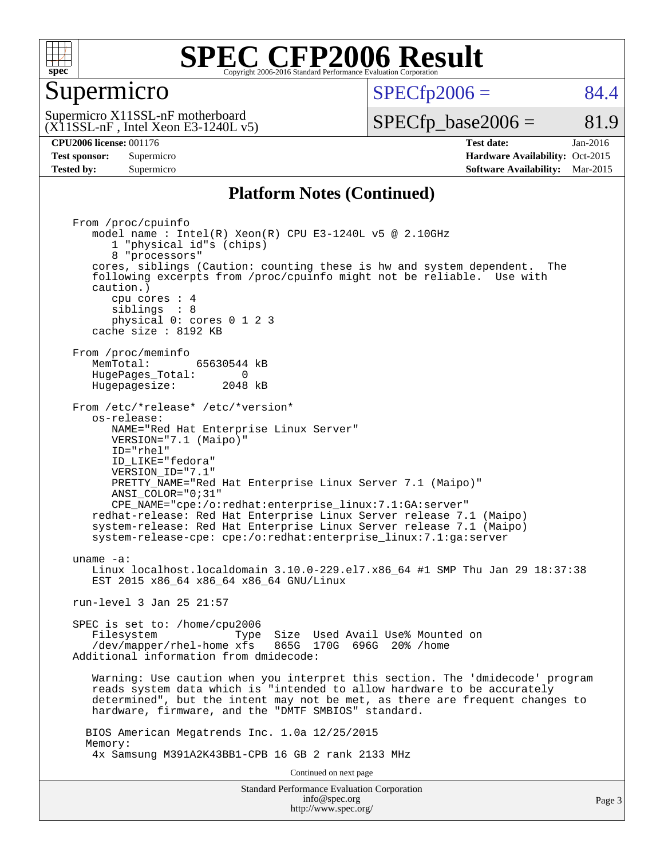

#### Supermicro

 $SPECTp2006 = 84.4$ 

 $(X11SSL-nF$ , Intel Xeon E3-1240L v5) Supermicro X11SSL-nF motherboard

 $SPECTp\_base2006 = 81.9$ 

**[CPU2006 license:](http://www.spec.org/auto/cpu2006/Docs/result-fields.html#CPU2006license)** 001176 **[Test date:](http://www.spec.org/auto/cpu2006/Docs/result-fields.html#Testdate)** Jan-2016 **[Test sponsor:](http://www.spec.org/auto/cpu2006/Docs/result-fields.html#Testsponsor)** Supermicro Supermicro **[Hardware Availability:](http://www.spec.org/auto/cpu2006/Docs/result-fields.html#HardwareAvailability)** Oct-2015 **[Tested by:](http://www.spec.org/auto/cpu2006/Docs/result-fields.html#Testedby)** Supermicro **Supermicro [Software Availability:](http://www.spec.org/auto/cpu2006/Docs/result-fields.html#SoftwareAvailability)** Mar-2015

#### **[Platform Notes \(Continued\)](http://www.spec.org/auto/cpu2006/Docs/result-fields.html#PlatformNotes)**

Standard Performance Evaluation Corporation [info@spec.org](mailto:info@spec.org) Page 3 From /proc/cpuinfo model name : Intel(R) Xeon(R) CPU E3-1240L v5 @ 2.10GHz 1 "physical id"s (chips) 8 "processors" cores, siblings (Caution: counting these is hw and system dependent. The following excerpts from /proc/cpuinfo might not be reliable. Use with caution.) cpu cores : 4 siblings : 8 physical 0: cores 0 1 2 3 cache size : 8192 KB From /proc/meminfo<br>MemTotal: 65630544 kB HugePages\_Total: 0<br>Hugepagesize: 2048 kB Hugepagesize: From /etc/\*release\* /etc/\*version\* os-release: NAME="Red Hat Enterprise Linux Server" VERSION="7.1 (Maipo)" ID="rhel" ID\_LIKE="fedora" VERSION\_ID="7.1" PRETTY\_NAME="Red Hat Enterprise Linux Server 7.1 (Maipo)" ANSI\_COLOR="0;31" CPE\_NAME="cpe:/o:redhat:enterprise\_linux:7.1:GA:server" redhat-release: Red Hat Enterprise Linux Server release 7.1 (Maipo) system-release: Red Hat Enterprise Linux Server release 7.1 (Maipo) system-release-cpe: cpe:/o:redhat:enterprise\_linux:7.1:ga:server uname -a: Linux localhost.localdomain 3.10.0-229.el7.x86\_64 #1 SMP Thu Jan 29 18:37:38 EST 2015 x86 64 x86 64 x86 64 GNU/Linux run-level 3 Jan 25 21:57 SPEC is set to: /home/cpu2006 Filesystem Type Size Used Avail Use% Mounted on /dev/mapper/rhel-home xfs 865G 170G 696G 20% /home Additional information from dmidecode: Warning: Use caution when you interpret this section. The 'dmidecode' program reads system data which is "intended to allow hardware to be accurately determined", but the intent may not be met, as there are frequent changes to hardware, firmware, and the "DMTF SMBIOS" standard. BIOS American Megatrends Inc. 1.0a 12/25/2015 Memory: 4x Samsung M391A2K43BB1-CPB 16 GB 2 rank 2133 MHz Continued on next page

<http://www.spec.org/>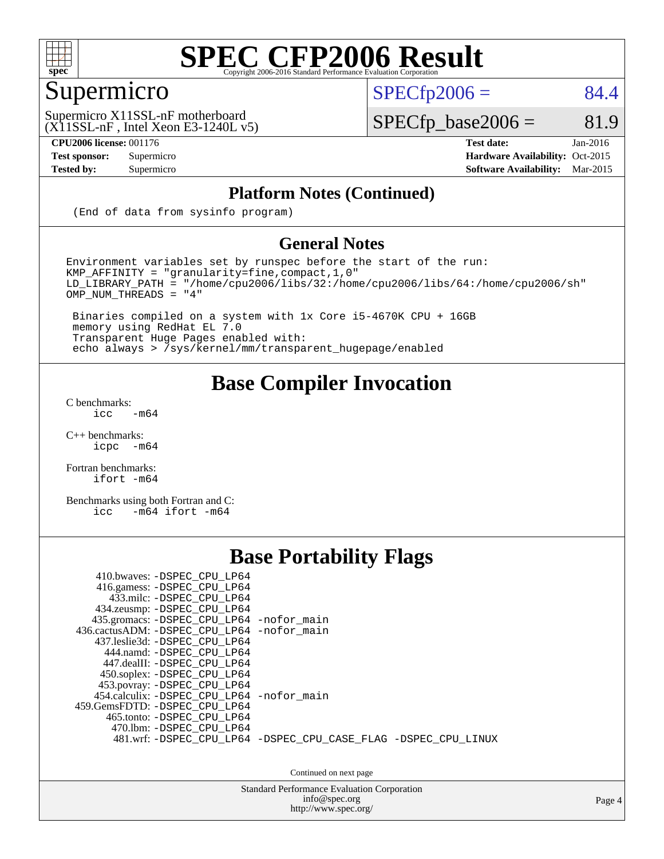

### Supermicro

 $SPECTp2006 = 84.4$ 

 $(X11SSL-nF$ , Intel Xeon E3-1240L v5) Supermicro X11SSL-nF motherboard

 $SPECTp\_base2006 = 81.9$ 

**[CPU2006 license:](http://www.spec.org/auto/cpu2006/Docs/result-fields.html#CPU2006license)** 001176 **[Test date:](http://www.spec.org/auto/cpu2006/Docs/result-fields.html#Testdate)** Jan-2016 **[Test sponsor:](http://www.spec.org/auto/cpu2006/Docs/result-fields.html#Testsponsor)** Supermicro Supermicro **[Hardware Availability:](http://www.spec.org/auto/cpu2006/Docs/result-fields.html#HardwareAvailability)** Oct-2015 **[Tested by:](http://www.spec.org/auto/cpu2006/Docs/result-fields.html#Testedby)** Supermicro **Supermicro [Software Availability:](http://www.spec.org/auto/cpu2006/Docs/result-fields.html#SoftwareAvailability)** Mar-2015

#### **[Platform Notes \(Continued\)](http://www.spec.org/auto/cpu2006/Docs/result-fields.html#PlatformNotes)**

(End of data from sysinfo program)

#### **[General Notes](http://www.spec.org/auto/cpu2006/Docs/result-fields.html#GeneralNotes)**

Environment variables set by runspec before the start of the run: KMP\_AFFINITY = "granularity=fine,compact,1,0" LD\_LIBRARY\_PATH = "/home/cpu2006/libs/32:/home/cpu2006/libs/64:/home/cpu2006/sh" OMP\_NUM\_THREADS = "4"

 Binaries compiled on a system with 1x Core i5-4670K CPU + 16GB memory using RedHat EL 7.0 Transparent Huge Pages enabled with: echo always > /sys/kernel/mm/transparent\_hugepage/enabled

#### **[Base Compiler Invocation](http://www.spec.org/auto/cpu2006/Docs/result-fields.html#BaseCompilerInvocation)**

[C benchmarks](http://www.spec.org/auto/cpu2006/Docs/result-fields.html#Cbenchmarks):  $\text{icc}$  -m64

 $C++$  benchmarks:<br>icpc  $-m$ -m64

[Fortran benchmarks](http://www.spec.org/auto/cpu2006/Docs/result-fields.html#Fortranbenchmarks): [ifort -m64](http://www.spec.org/cpu2006/results/res2016q1/cpu2006-20160206-38985.flags.html#user_FCbase_intel_ifort_64bit_ee9d0fb25645d0210d97eb0527dcc06e)

[Benchmarks using both Fortran and C](http://www.spec.org/auto/cpu2006/Docs/result-fields.html#BenchmarksusingbothFortranandC): [icc -m64](http://www.spec.org/cpu2006/results/res2016q1/cpu2006-20160206-38985.flags.html#user_CC_FCbase_intel_icc_64bit_0b7121f5ab7cfabee23d88897260401c) [ifort -m64](http://www.spec.org/cpu2006/results/res2016q1/cpu2006-20160206-38985.flags.html#user_CC_FCbase_intel_ifort_64bit_ee9d0fb25645d0210d97eb0527dcc06e)

#### **[Base Portability Flags](http://www.spec.org/auto/cpu2006/Docs/result-fields.html#BasePortabilityFlags)**

| 410.bwaves: -DSPEC CPU LP64<br>416.gamess: -DSPEC_CPU_LP64<br>433.milc: -DSPEC CPU LP64<br>434.zeusmp: -DSPEC_CPU_LP64<br>435.gromacs: -DSPEC_CPU_LP64 -nofor_main<br>436.cactusADM: -DSPEC CPU LP64 -nofor main<br>437.leslie3d: -DSPEC CPU LP64<br>444.namd: -DSPEC CPU LP64<br>447.dealII: -DSPEC CPU LP64 |                                                                |
|---------------------------------------------------------------------------------------------------------------------------------------------------------------------------------------------------------------------------------------------------------------------------------------------------------------|----------------------------------------------------------------|
| 450.soplex: - DSPEC_CPU_LP64<br>453.povray: -DSPEC_CPU_LP64<br>454.calculix: -DSPEC CPU LP64 -nofor main<br>459. GemsFDTD: - DSPEC CPU LP64<br>465.tonto: -DSPEC CPU LP64<br>470.1bm: - DSPEC CPU LP64                                                                                                        | 481.wrf: -DSPEC CPU_LP64 -DSPEC_CPU_CASE_FLAG -DSPEC_CPU_LINUX |

Continued on next page

Standard Performance Evaluation Corporation [info@spec.org](mailto:info@spec.org) <http://www.spec.org/>

Page 4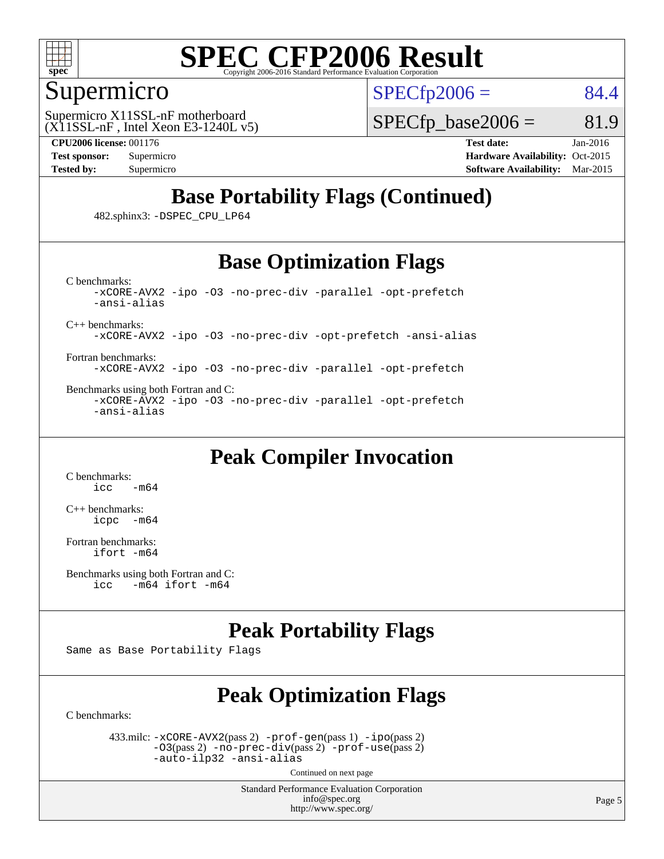

#### Supermicro

 $SPECTp2006 = 84.4$ 

 $(X11SSL-nF$ , Intel Xeon E3-1240L v5) Supermicro X11SSL-nF motherboard

 $SPECTp\_base2006 = 81.9$ 

**[CPU2006 license:](http://www.spec.org/auto/cpu2006/Docs/result-fields.html#CPU2006license)** 001176 **[Test date:](http://www.spec.org/auto/cpu2006/Docs/result-fields.html#Testdate)** Jan-2016

**[Test sponsor:](http://www.spec.org/auto/cpu2006/Docs/result-fields.html#Testsponsor)** Supermicro Supermicro **[Hardware Availability:](http://www.spec.org/auto/cpu2006/Docs/result-fields.html#HardwareAvailability)** Oct-2015 **[Tested by:](http://www.spec.org/auto/cpu2006/Docs/result-fields.html#Testedby)** Supermicro **[Software Availability:](http://www.spec.org/auto/cpu2006/Docs/result-fields.html#SoftwareAvailability)** Mar-2015

### **[Base Portability Flags \(Continued\)](http://www.spec.org/auto/cpu2006/Docs/result-fields.html#BasePortabilityFlags)**

482.sphinx3: [-DSPEC\\_CPU\\_LP64](http://www.spec.org/cpu2006/results/res2016q1/cpu2006-20160206-38985.flags.html#suite_basePORTABILITY482_sphinx3_DSPEC_CPU_LP64)

#### **[Base Optimization Flags](http://www.spec.org/auto/cpu2006/Docs/result-fields.html#BaseOptimizationFlags)**

[C benchmarks](http://www.spec.org/auto/cpu2006/Docs/result-fields.html#Cbenchmarks): [-xCORE-AVX2](http://www.spec.org/cpu2006/results/res2016q1/cpu2006-20160206-38985.flags.html#user_CCbase_f-xAVX2_5f5fc0cbe2c9f62c816d3e45806c70d7) [-ipo](http://www.spec.org/cpu2006/results/res2016q1/cpu2006-20160206-38985.flags.html#user_CCbase_f-ipo) [-O3](http://www.spec.org/cpu2006/results/res2016q1/cpu2006-20160206-38985.flags.html#user_CCbase_f-O3) [-no-prec-div](http://www.spec.org/cpu2006/results/res2016q1/cpu2006-20160206-38985.flags.html#user_CCbase_f-no-prec-div) [-parallel](http://www.spec.org/cpu2006/results/res2016q1/cpu2006-20160206-38985.flags.html#user_CCbase_f-parallel) [-opt-prefetch](http://www.spec.org/cpu2006/results/res2016q1/cpu2006-20160206-38985.flags.html#user_CCbase_f-opt-prefetch) [-ansi-alias](http://www.spec.org/cpu2006/results/res2016q1/cpu2006-20160206-38985.flags.html#user_CCbase_f-ansi-alias)

[C++ benchmarks:](http://www.spec.org/auto/cpu2006/Docs/result-fields.html#CXXbenchmarks)

[-xCORE-AVX2](http://www.spec.org/cpu2006/results/res2016q1/cpu2006-20160206-38985.flags.html#user_CXXbase_f-xAVX2_5f5fc0cbe2c9f62c816d3e45806c70d7) [-ipo](http://www.spec.org/cpu2006/results/res2016q1/cpu2006-20160206-38985.flags.html#user_CXXbase_f-ipo) [-O3](http://www.spec.org/cpu2006/results/res2016q1/cpu2006-20160206-38985.flags.html#user_CXXbase_f-O3) [-no-prec-div](http://www.spec.org/cpu2006/results/res2016q1/cpu2006-20160206-38985.flags.html#user_CXXbase_f-no-prec-div) [-opt-prefetch](http://www.spec.org/cpu2006/results/res2016q1/cpu2006-20160206-38985.flags.html#user_CXXbase_f-opt-prefetch) [-ansi-alias](http://www.spec.org/cpu2006/results/res2016q1/cpu2006-20160206-38985.flags.html#user_CXXbase_f-ansi-alias)

[Fortran benchmarks](http://www.spec.org/auto/cpu2006/Docs/result-fields.html#Fortranbenchmarks): [-xCORE-AVX2](http://www.spec.org/cpu2006/results/res2016q1/cpu2006-20160206-38985.flags.html#user_FCbase_f-xAVX2_5f5fc0cbe2c9f62c816d3e45806c70d7) [-ipo](http://www.spec.org/cpu2006/results/res2016q1/cpu2006-20160206-38985.flags.html#user_FCbase_f-ipo) [-O3](http://www.spec.org/cpu2006/results/res2016q1/cpu2006-20160206-38985.flags.html#user_FCbase_f-O3) [-no-prec-div](http://www.spec.org/cpu2006/results/res2016q1/cpu2006-20160206-38985.flags.html#user_FCbase_f-no-prec-div) [-parallel](http://www.spec.org/cpu2006/results/res2016q1/cpu2006-20160206-38985.flags.html#user_FCbase_f-parallel) [-opt-prefetch](http://www.spec.org/cpu2006/results/res2016q1/cpu2006-20160206-38985.flags.html#user_FCbase_f-opt-prefetch)

[Benchmarks using both Fortran and C](http://www.spec.org/auto/cpu2006/Docs/result-fields.html#BenchmarksusingbothFortranandC): [-xCORE-AVX2](http://www.spec.org/cpu2006/results/res2016q1/cpu2006-20160206-38985.flags.html#user_CC_FCbase_f-xAVX2_5f5fc0cbe2c9f62c816d3e45806c70d7) [-ipo](http://www.spec.org/cpu2006/results/res2016q1/cpu2006-20160206-38985.flags.html#user_CC_FCbase_f-ipo) [-O3](http://www.spec.org/cpu2006/results/res2016q1/cpu2006-20160206-38985.flags.html#user_CC_FCbase_f-O3) [-no-prec-div](http://www.spec.org/cpu2006/results/res2016q1/cpu2006-20160206-38985.flags.html#user_CC_FCbase_f-no-prec-div) [-parallel](http://www.spec.org/cpu2006/results/res2016q1/cpu2006-20160206-38985.flags.html#user_CC_FCbase_f-parallel) [-opt-prefetch](http://www.spec.org/cpu2006/results/res2016q1/cpu2006-20160206-38985.flags.html#user_CC_FCbase_f-opt-prefetch) [-ansi-alias](http://www.spec.org/cpu2006/results/res2016q1/cpu2006-20160206-38985.flags.html#user_CC_FCbase_f-ansi-alias)

#### **[Peak Compiler Invocation](http://www.spec.org/auto/cpu2006/Docs/result-fields.html#PeakCompilerInvocation)**

[C benchmarks](http://www.spec.org/auto/cpu2006/Docs/result-fields.html#Cbenchmarks):  $-m64$ 

[C++ benchmarks:](http://www.spec.org/auto/cpu2006/Docs/result-fields.html#CXXbenchmarks) [icpc -m64](http://www.spec.org/cpu2006/results/res2016q1/cpu2006-20160206-38985.flags.html#user_CXXpeak_intel_icpc_64bit_bedb90c1146cab66620883ef4f41a67e)

[Fortran benchmarks](http://www.spec.org/auto/cpu2006/Docs/result-fields.html#Fortranbenchmarks): [ifort -m64](http://www.spec.org/cpu2006/results/res2016q1/cpu2006-20160206-38985.flags.html#user_FCpeak_intel_ifort_64bit_ee9d0fb25645d0210d97eb0527dcc06e)

```
Benchmarks using both Fortran and C: 
icc -m64 ifort -m64
```
#### **[Peak Portability Flags](http://www.spec.org/auto/cpu2006/Docs/result-fields.html#PeakPortabilityFlags)**

Same as Base Portability Flags

### **[Peak Optimization Flags](http://www.spec.org/auto/cpu2006/Docs/result-fields.html#PeakOptimizationFlags)**

[C benchmarks](http://www.spec.org/auto/cpu2006/Docs/result-fields.html#Cbenchmarks):

 433.milc: [-xCORE-AVX2](http://www.spec.org/cpu2006/results/res2016q1/cpu2006-20160206-38985.flags.html#user_peakPASS2_CFLAGSPASS2_LDFLAGS433_milc_f-xAVX2_5f5fc0cbe2c9f62c816d3e45806c70d7)(pass 2) [-prof-gen](http://www.spec.org/cpu2006/results/res2016q1/cpu2006-20160206-38985.flags.html#user_peakPASS1_CFLAGSPASS1_LDFLAGS433_milc_prof_gen_e43856698f6ca7b7e442dfd80e94a8fc)(pass 1) [-ipo](http://www.spec.org/cpu2006/results/res2016q1/cpu2006-20160206-38985.flags.html#user_peakPASS2_CFLAGSPASS2_LDFLAGS433_milc_f-ipo)(pass 2) [-O3](http://www.spec.org/cpu2006/results/res2016q1/cpu2006-20160206-38985.flags.html#user_peakPASS2_CFLAGSPASS2_LDFLAGS433_milc_f-O3)(pass 2) [-no-prec-div](http://www.spec.org/cpu2006/results/res2016q1/cpu2006-20160206-38985.flags.html#user_peakPASS2_CFLAGSPASS2_LDFLAGS433_milc_f-no-prec-div)(pass 2) [-prof-use](http://www.spec.org/cpu2006/results/res2016q1/cpu2006-20160206-38985.flags.html#user_peakPASS2_CFLAGSPASS2_LDFLAGS433_milc_prof_use_bccf7792157ff70d64e32fe3e1250b55)(pass 2) [-auto-ilp32](http://www.spec.org/cpu2006/results/res2016q1/cpu2006-20160206-38985.flags.html#user_peakCOPTIMIZE433_milc_f-auto-ilp32) [-ansi-alias](http://www.spec.org/cpu2006/results/res2016q1/cpu2006-20160206-38985.flags.html#user_peakCOPTIMIZE433_milc_f-ansi-alias)

Continued on next page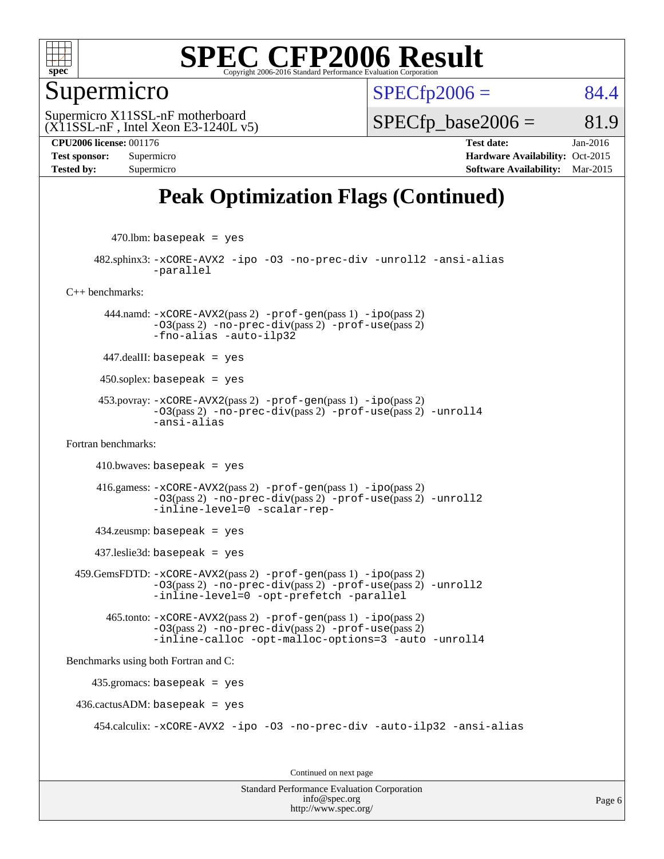

#### Supermicro

 $SPECTp2006 = 84.4$ 

 $(X11SSL-nF$ , Intel Xeon E3-1240L v5) Supermicro X11SSL-nF motherboard

 $SPECTp\_base2006 = 81.9$ 

**[CPU2006 license:](http://www.spec.org/auto/cpu2006/Docs/result-fields.html#CPU2006license)** 001176 **[Test date:](http://www.spec.org/auto/cpu2006/Docs/result-fields.html#Testdate)** Jan-2016 **[Test sponsor:](http://www.spec.org/auto/cpu2006/Docs/result-fields.html#Testsponsor)** Supermicro Supermicro **[Hardware Availability:](http://www.spec.org/auto/cpu2006/Docs/result-fields.html#HardwareAvailability)** Oct-2015 **[Tested by:](http://www.spec.org/auto/cpu2006/Docs/result-fields.html#Testedby)** Supermicro **[Software Availability:](http://www.spec.org/auto/cpu2006/Docs/result-fields.html#SoftwareAvailability)** Mar-2015

### **[Peak Optimization Flags \(Continued\)](http://www.spec.org/auto/cpu2006/Docs/result-fields.html#PeakOptimizationFlags)**

 $470$ .lbm: basepeak = yes

 482.sphinx3: [-xCORE-AVX2](http://www.spec.org/cpu2006/results/res2016q1/cpu2006-20160206-38985.flags.html#user_peakOPTIMIZE482_sphinx3_f-xAVX2_5f5fc0cbe2c9f62c816d3e45806c70d7) [-ipo](http://www.spec.org/cpu2006/results/res2016q1/cpu2006-20160206-38985.flags.html#user_peakOPTIMIZE482_sphinx3_f-ipo) [-O3](http://www.spec.org/cpu2006/results/res2016q1/cpu2006-20160206-38985.flags.html#user_peakOPTIMIZE482_sphinx3_f-O3) [-no-prec-div](http://www.spec.org/cpu2006/results/res2016q1/cpu2006-20160206-38985.flags.html#user_peakOPTIMIZE482_sphinx3_f-no-prec-div) [-unroll2](http://www.spec.org/cpu2006/results/res2016q1/cpu2006-20160206-38985.flags.html#user_peakCOPTIMIZE482_sphinx3_f-unroll_784dae83bebfb236979b41d2422d7ec2) [-ansi-alias](http://www.spec.org/cpu2006/results/res2016q1/cpu2006-20160206-38985.flags.html#user_peakCOPTIMIZE482_sphinx3_f-ansi-alias) [-parallel](http://www.spec.org/cpu2006/results/res2016q1/cpu2006-20160206-38985.flags.html#user_peakCOPTIMIZE482_sphinx3_f-parallel)

[C++ benchmarks:](http://www.spec.org/auto/cpu2006/Docs/result-fields.html#CXXbenchmarks)

 444.namd: [-xCORE-AVX2](http://www.spec.org/cpu2006/results/res2016q1/cpu2006-20160206-38985.flags.html#user_peakPASS2_CXXFLAGSPASS2_LDFLAGS444_namd_f-xAVX2_5f5fc0cbe2c9f62c816d3e45806c70d7)(pass 2) [-prof-gen](http://www.spec.org/cpu2006/results/res2016q1/cpu2006-20160206-38985.flags.html#user_peakPASS1_CXXFLAGSPASS1_LDFLAGS444_namd_prof_gen_e43856698f6ca7b7e442dfd80e94a8fc)(pass 1) [-ipo](http://www.spec.org/cpu2006/results/res2016q1/cpu2006-20160206-38985.flags.html#user_peakPASS2_CXXFLAGSPASS2_LDFLAGS444_namd_f-ipo)(pass 2)  $-03$ (pass 2)  $-no-prec-div(pass 2)$  $-no-prec-div(pass 2)$   $-prof-use(pass 2)$  $-prof-use(pass 2)$ [-fno-alias](http://www.spec.org/cpu2006/results/res2016q1/cpu2006-20160206-38985.flags.html#user_peakCXXOPTIMIZEOPTIMIZE444_namd_f-no-alias_694e77f6c5a51e658e82ccff53a9e63a) [-auto-ilp32](http://www.spec.org/cpu2006/results/res2016q1/cpu2006-20160206-38985.flags.html#user_peakCXXOPTIMIZE444_namd_f-auto-ilp32)

447.dealII: basepeak = yes

 $450$ .soplex: basepeak = yes

 453.povray: [-xCORE-AVX2](http://www.spec.org/cpu2006/results/res2016q1/cpu2006-20160206-38985.flags.html#user_peakPASS2_CXXFLAGSPASS2_LDFLAGS453_povray_f-xAVX2_5f5fc0cbe2c9f62c816d3e45806c70d7)(pass 2) [-prof-gen](http://www.spec.org/cpu2006/results/res2016q1/cpu2006-20160206-38985.flags.html#user_peakPASS1_CXXFLAGSPASS1_LDFLAGS453_povray_prof_gen_e43856698f6ca7b7e442dfd80e94a8fc)(pass 1) [-ipo](http://www.spec.org/cpu2006/results/res2016q1/cpu2006-20160206-38985.flags.html#user_peakPASS2_CXXFLAGSPASS2_LDFLAGS453_povray_f-ipo)(pass 2) [-O3](http://www.spec.org/cpu2006/results/res2016q1/cpu2006-20160206-38985.flags.html#user_peakPASS2_CXXFLAGSPASS2_LDFLAGS453_povray_f-O3)(pass 2) [-no-prec-div](http://www.spec.org/cpu2006/results/res2016q1/cpu2006-20160206-38985.flags.html#user_peakPASS2_CXXFLAGSPASS2_LDFLAGS453_povray_f-no-prec-div)(pass 2) [-prof-use](http://www.spec.org/cpu2006/results/res2016q1/cpu2006-20160206-38985.flags.html#user_peakPASS2_CXXFLAGSPASS2_LDFLAGS453_povray_prof_use_bccf7792157ff70d64e32fe3e1250b55)(pass 2) [-unroll4](http://www.spec.org/cpu2006/results/res2016q1/cpu2006-20160206-38985.flags.html#user_peakCXXOPTIMIZE453_povray_f-unroll_4e5e4ed65b7fd20bdcd365bec371b81f) [-ansi-alias](http://www.spec.org/cpu2006/results/res2016q1/cpu2006-20160206-38985.flags.html#user_peakCXXOPTIMIZE453_povray_f-ansi-alias)

[Fortran benchmarks](http://www.spec.org/auto/cpu2006/Docs/result-fields.html#Fortranbenchmarks):

 $410.bwaves: basepeak = yes$ 

 416.gamess: [-xCORE-AVX2](http://www.spec.org/cpu2006/results/res2016q1/cpu2006-20160206-38985.flags.html#user_peakPASS2_FFLAGSPASS2_LDFLAGS416_gamess_f-xAVX2_5f5fc0cbe2c9f62c816d3e45806c70d7)(pass 2) [-prof-gen](http://www.spec.org/cpu2006/results/res2016q1/cpu2006-20160206-38985.flags.html#user_peakPASS1_FFLAGSPASS1_LDFLAGS416_gamess_prof_gen_e43856698f6ca7b7e442dfd80e94a8fc)(pass 1) [-ipo](http://www.spec.org/cpu2006/results/res2016q1/cpu2006-20160206-38985.flags.html#user_peakPASS2_FFLAGSPASS2_LDFLAGS416_gamess_f-ipo)(pass 2) [-O3](http://www.spec.org/cpu2006/results/res2016q1/cpu2006-20160206-38985.flags.html#user_peakPASS2_FFLAGSPASS2_LDFLAGS416_gamess_f-O3)(pass 2) [-no-prec-div](http://www.spec.org/cpu2006/results/res2016q1/cpu2006-20160206-38985.flags.html#user_peakPASS2_FFLAGSPASS2_LDFLAGS416_gamess_f-no-prec-div)(pass 2) [-prof-use](http://www.spec.org/cpu2006/results/res2016q1/cpu2006-20160206-38985.flags.html#user_peakPASS2_FFLAGSPASS2_LDFLAGS416_gamess_prof_use_bccf7792157ff70d64e32fe3e1250b55)(pass 2) [-unroll2](http://www.spec.org/cpu2006/results/res2016q1/cpu2006-20160206-38985.flags.html#user_peakOPTIMIZE416_gamess_f-unroll_784dae83bebfb236979b41d2422d7ec2) [-inline-level=0](http://www.spec.org/cpu2006/results/res2016q1/cpu2006-20160206-38985.flags.html#user_peakOPTIMIZE416_gamess_f-inline-level_318d07a09274ad25e8d15dbfaa68ba50) [-scalar-rep-](http://www.spec.org/cpu2006/results/res2016q1/cpu2006-20160206-38985.flags.html#user_peakOPTIMIZE416_gamess_f-disablescalarrep_abbcad04450fb118e4809c81d83c8a1d)

434.zeusmp: basepeak = yes

437.leslie3d: basepeak = yes

 459.GemsFDTD: [-xCORE-AVX2](http://www.spec.org/cpu2006/results/res2016q1/cpu2006-20160206-38985.flags.html#user_peakPASS2_FFLAGSPASS2_LDFLAGS459_GemsFDTD_f-xAVX2_5f5fc0cbe2c9f62c816d3e45806c70d7)(pass 2) [-prof-gen](http://www.spec.org/cpu2006/results/res2016q1/cpu2006-20160206-38985.flags.html#user_peakPASS1_FFLAGSPASS1_LDFLAGS459_GemsFDTD_prof_gen_e43856698f6ca7b7e442dfd80e94a8fc)(pass 1) [-ipo](http://www.spec.org/cpu2006/results/res2016q1/cpu2006-20160206-38985.flags.html#user_peakPASS2_FFLAGSPASS2_LDFLAGS459_GemsFDTD_f-ipo)(pass 2) [-O3](http://www.spec.org/cpu2006/results/res2016q1/cpu2006-20160206-38985.flags.html#user_peakPASS2_FFLAGSPASS2_LDFLAGS459_GemsFDTD_f-O3)(pass 2) [-no-prec-div](http://www.spec.org/cpu2006/results/res2016q1/cpu2006-20160206-38985.flags.html#user_peakPASS2_FFLAGSPASS2_LDFLAGS459_GemsFDTD_f-no-prec-div)(pass 2) [-prof-use](http://www.spec.org/cpu2006/results/res2016q1/cpu2006-20160206-38985.flags.html#user_peakPASS2_FFLAGSPASS2_LDFLAGS459_GemsFDTD_prof_use_bccf7792157ff70d64e32fe3e1250b55)(pass 2) [-unroll2](http://www.spec.org/cpu2006/results/res2016q1/cpu2006-20160206-38985.flags.html#user_peakOPTIMIZE459_GemsFDTD_f-unroll_784dae83bebfb236979b41d2422d7ec2) [-inline-level=0](http://www.spec.org/cpu2006/results/res2016q1/cpu2006-20160206-38985.flags.html#user_peakOPTIMIZE459_GemsFDTD_f-inline-level_318d07a09274ad25e8d15dbfaa68ba50) [-opt-prefetch](http://www.spec.org/cpu2006/results/res2016q1/cpu2006-20160206-38985.flags.html#user_peakOPTIMIZE459_GemsFDTD_f-opt-prefetch) [-parallel](http://www.spec.org/cpu2006/results/res2016q1/cpu2006-20160206-38985.flags.html#user_peakOPTIMIZE459_GemsFDTD_f-parallel)

 465.tonto: [-xCORE-AVX2](http://www.spec.org/cpu2006/results/res2016q1/cpu2006-20160206-38985.flags.html#user_peakPASS2_FFLAGSPASS2_LDFLAGS465_tonto_f-xAVX2_5f5fc0cbe2c9f62c816d3e45806c70d7)(pass 2) [-prof-gen](http://www.spec.org/cpu2006/results/res2016q1/cpu2006-20160206-38985.flags.html#user_peakPASS1_FFLAGSPASS1_LDFLAGS465_tonto_prof_gen_e43856698f6ca7b7e442dfd80e94a8fc)(pass 1) [-ipo](http://www.spec.org/cpu2006/results/res2016q1/cpu2006-20160206-38985.flags.html#user_peakPASS2_FFLAGSPASS2_LDFLAGS465_tonto_f-ipo)(pass 2) [-O3](http://www.spec.org/cpu2006/results/res2016q1/cpu2006-20160206-38985.flags.html#user_peakPASS2_FFLAGSPASS2_LDFLAGS465_tonto_f-O3)(pass 2) [-no-prec-div](http://www.spec.org/cpu2006/results/res2016q1/cpu2006-20160206-38985.flags.html#user_peakPASS2_FFLAGSPASS2_LDFLAGS465_tonto_f-no-prec-div)(pass 2) [-prof-use](http://www.spec.org/cpu2006/results/res2016q1/cpu2006-20160206-38985.flags.html#user_peakPASS2_FFLAGSPASS2_LDFLAGS465_tonto_prof_use_bccf7792157ff70d64e32fe3e1250b55)(pass 2) [-inline-calloc](http://www.spec.org/cpu2006/results/res2016q1/cpu2006-20160206-38985.flags.html#user_peakOPTIMIZE465_tonto_f-inline-calloc) [-opt-malloc-options=3](http://www.spec.org/cpu2006/results/res2016q1/cpu2006-20160206-38985.flags.html#user_peakOPTIMIZE465_tonto_f-opt-malloc-options_13ab9b803cf986b4ee62f0a5998c2238) [-auto](http://www.spec.org/cpu2006/results/res2016q1/cpu2006-20160206-38985.flags.html#user_peakOPTIMIZE465_tonto_f-auto) [-unroll4](http://www.spec.org/cpu2006/results/res2016q1/cpu2006-20160206-38985.flags.html#user_peakOPTIMIZE465_tonto_f-unroll_4e5e4ed65b7fd20bdcd365bec371b81f)

[Benchmarks using both Fortran and C](http://www.spec.org/auto/cpu2006/Docs/result-fields.html#BenchmarksusingbothFortranandC):

435.gromacs: basepeak = yes

 $436.cactusADM: basepeak = yes$ 

454.calculix: [-xCORE-AVX2](http://www.spec.org/cpu2006/results/res2016q1/cpu2006-20160206-38985.flags.html#user_peakOPTIMIZE454_calculix_f-xAVX2_5f5fc0cbe2c9f62c816d3e45806c70d7) [-ipo](http://www.spec.org/cpu2006/results/res2016q1/cpu2006-20160206-38985.flags.html#user_peakOPTIMIZE454_calculix_f-ipo) [-O3](http://www.spec.org/cpu2006/results/res2016q1/cpu2006-20160206-38985.flags.html#user_peakOPTIMIZE454_calculix_f-O3) [-no-prec-div](http://www.spec.org/cpu2006/results/res2016q1/cpu2006-20160206-38985.flags.html#user_peakOPTIMIZE454_calculix_f-no-prec-div) [-auto-ilp32](http://www.spec.org/cpu2006/results/res2016q1/cpu2006-20160206-38985.flags.html#user_peakCOPTIMIZE454_calculix_f-auto-ilp32) [-ansi-alias](http://www.spec.org/cpu2006/results/res2016q1/cpu2006-20160206-38985.flags.html#user_peakCOPTIMIZE454_calculix_f-ansi-alias)

Continued on next page